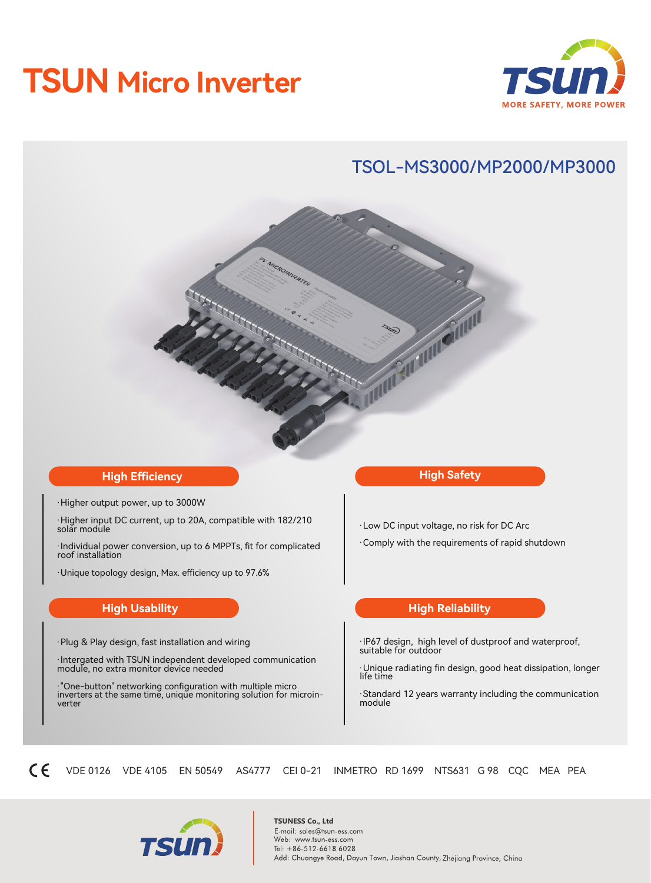# **TSUN Micro Inverter**



# TSOL-MS3000/MP2000/MP3000

#### **High Efficiency**

·Higher output power, up to 3000W

·Higher input DC current, up to 20A, compatible with 182/210 solar module

·Individual power conversion, up to 6 MPPTs, fit for complicated roof installation

·Unique topology design, Max. efficiency up to 97.6%

#### **High Usability**

·Plug & Play design, fast installation and wiring

·Intergated with TSUN independent developed communication module, no extra monitor device needed

·"One-button" networking configuration with multiple micro inverters at the same time, unique monitoring solution for microinverter

#### **High Safety**

**CONTROL** 

·Low DC input voltage, no risk for DC Arc

·Comply with the requirements of rapid shutdown

#### **High Reliability**

·IP67 design, high level of dustproof and waterproof, suitable for outdoor

·Unique radiating fin design, good heat dissipation, longer life time

·Standard 12 years warranty including the communication module

 $\epsilon$ VDE 0126 VDE 4105 EN 50549 AS4777 CEI 0-21 INMETRO RD 1699 NTS631 G 98 CQC MEA PEA



**TSUNESS Co., Ltd**<br>E-mail: sales@tsun-ess.com Web: www.tsun-ess.com Tel: +86-512-6618 6028 Add: Chuangye Road, Dayun Town, Jiashan County, Zhejiang Province, China